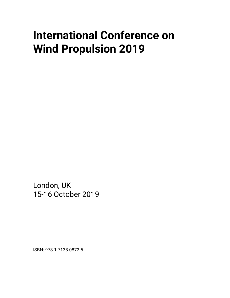# **International Conference on Wind Propulsion 2019**

London, UK 15-16 October 2019

ISBN: 978-1-7138-0872-5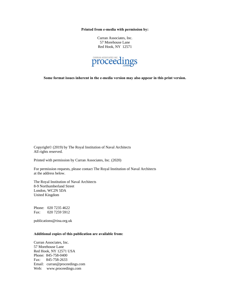**Printed from e-media with permission by:**

Curran Associates, Inc. 57 Morehouse Lane Red Hook, NY 12571



**Some format issues inherent in the e-media version may also appear in this print version.**

Copyright© (2019) by The Royal Institution of Naval Architects All rights reserved.

Printed with permission by Curran Associates, Inc. (2020)

For permission requests, please contact The Royal Institution of Naval Architects at the address below.

The Royal Institution of Naval Architects 8-9 Northumberland Street London, WC2N 5DA United Kingdom

Phone: 020 7235 4622 Fax: 020 7259 5912

publications@rina.org.uk

# **Additional copies of this publication are available from:**

Curran Associates, Inc. 57 Morehouse Lane Red Hook, NY 12571 USA Phone: 845-758-0400 Fax: 845-758-2633 Email: curran@proceedings.com Web: www.proceedings.com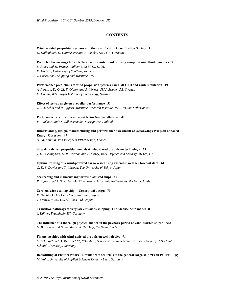# **CONTENTS**

**Wind assisted propulsion systems and the role of a Ship Classification Society 1** *U. Hollenbach, H. Hoffmeister and J. Wienke, DNV GL, Germany*

**Predicted fuel-savings for a Flettner rotor assisted tanker using computational fluid dynamics 9**

*L. Jones and M. Prince, Wolfson Unit M.T.I.A., UK*

*D. Hudson, University of Southampton, UK*

*J. Cocks, Shell Shipping and Maritime, UK*

**Performance predictions of wind propulsion systems using 3D CFD and route simulation 19**

*A. Persson, D.-Q. Li, F. Olsson and S. Werner, SSPA Sweden AB, Sweden U. Dhomé, KTH Royal Institute of Technology, Sweden*

### **Effect of leeway angle on propeller performance 31**

*J. J. A. Schot and R. Eggers, Maritime Research Institute (MARIN), the Netherlands* 

### **Performance verification of recent Rotor Sail installations 41**

*V. Paakkari and O. Valkeisenmäki, Norsepower, Finland*

### **Dimensioning, design, manufacturing and performance assessment of Oceanwings Wingsail onboard Energy Observer 47**

*N. Sdez and M. Van Peteghem VPLP design, France*

### **Ship data driven propulsion models & wind-based propulsion technology 55**

*J. E. Buckingham, D. R. Pearson and E. Storey, BMT Defence and Security UK Ltd, UK* 

# **Optimal routing of a wind-powered cargo vessel using ensemble weather forecast data 61**

*G. D. S. Davies and T. Waseda, The University of Tokyo, Japan*

### **Seakeeping and manoeuvring for wind assisted ships 67**

*R. Eggers and A. S. Kisjes, Maritime Research Institute Netherlands, the Netherlands*

### **Zero emissions sailing ship —Conceptual design 79**

*K. Ouchi, Ouchi Ocean Consultant Inc., Japan T. Omiya, Mitsui O.S.K. Lines, Ltd., Japan*

**Transition pathways to very low emissions shipping: The Matisse-Ship model 83** *J. Köhler, Fraunhofer ISI, Germany*

**The influence of a thorough physical model on the payback period of wind-assisted ships\* N/A** *G. Bordogna and N. van der Kolk, TUDelft, the Netherlands*

#### **Financing ships with wind-assisted propulsion technologies 91**

*O. Schinas\* and D. Metzger\* \*\*, \*Hamburg School of Business Administration, Germany; \*\*Helmut Schmidt University, Germany* 

**Retrofitting of Flettner rotors – Results from sea trials of the general cargo ship "Fehn Pollux"** *M. Vahs, University of Applied Sciences Emden / Leer, Germany*  **97**